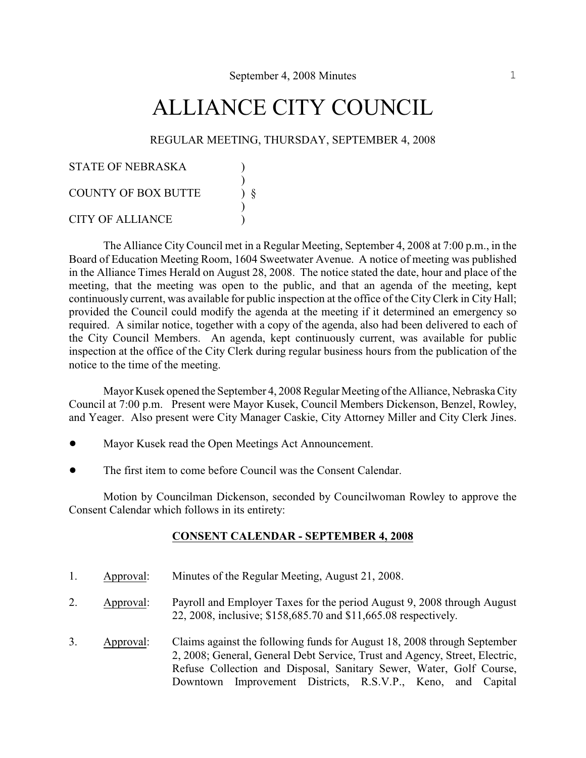# ALLIANCE CITY COUNCIL

### REGULAR MEETING, THURSDAY, SEPTEMBER 4, 2008

| <b>STATE OF NEBRASKA</b>   |  |
|----------------------------|--|
| <b>COUNTY OF BOX BUTTE</b> |  |
| <b>CITY OF ALLIANCE</b>    |  |

The Alliance City Council met in a Regular Meeting, September 4, 2008 at 7:00 p.m., in the Board of Education Meeting Room, 1604 Sweetwater Avenue. A notice of meeting was published in the Alliance Times Herald on August 28, 2008. The notice stated the date, hour and place of the meeting, that the meeting was open to the public, and that an agenda of the meeting, kept continuously current, was available for public inspection at the office of the City Clerk in City Hall; provided the Council could modify the agenda at the meeting if it determined an emergency so required. A similar notice, together with a copy of the agenda, also had been delivered to each of the City Council Members. An agenda, kept continuously current, was available for public inspection at the office of the City Clerk during regular business hours from the publication of the notice to the time of the meeting.

Mayor Kusek opened the September 4, 2008 Regular Meeting of the Alliance, Nebraska City Council at 7:00 p.m. Present were Mayor Kusek, Council Members Dickenson, Benzel, Rowley, and Yeager. Also present were City Manager Caskie, City Attorney Miller and City Clerk Jines.

- Mayor Kusek read the Open Meetings Act Announcement.
- ! The first item to come before Council was the Consent Calendar.

Motion by Councilman Dickenson, seconded by Councilwoman Rowley to approve the Consent Calendar which follows in its entirety:

### **CONSENT CALENDAR - SEPTEMBER 4, 2008**

- 1. Approval: Minutes of the Regular Meeting, August 21, 2008.
- 2. Approval: Payroll and Employer Taxes for the period August 9, 2008 through August 22, 2008, inclusive; \$158,685.70 and \$11,665.08 respectively.
- 3. Approval: Claims against the following funds for August 18, 2008 through September 2, 2008; General, General Debt Service, Trust and Agency, Street, Electric, Refuse Collection and Disposal, Sanitary Sewer, Water, Golf Course, Downtown Improvement Districts, R.S.V.P., Keno, and Capital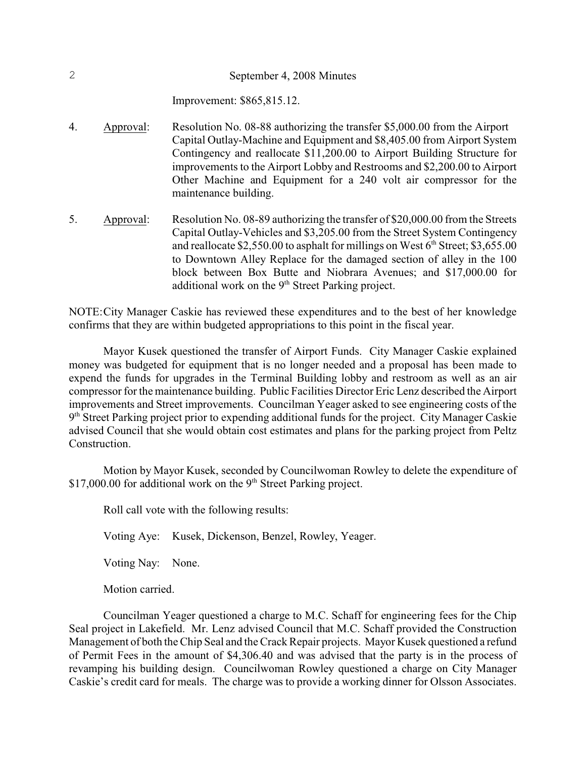Improvement: \$865,815.12.

- 4. Approval: Resolution No. 08-88 authorizing the transfer \$5,000.00 from the Airport Capital Outlay-Machine and Equipment and \$8,405.00 from Airport System Contingency and reallocate \$11,200.00 to Airport Building Structure for improvements to the Airport Lobby and Restrooms and \$2,200.00 to Airport Other Machine and Equipment for a 240 volt air compressor for the maintenance building.
- 5. Approval: Resolution No. 08-89 authorizing the transfer of \$20,000.00 from the Streets Capital Outlay-Vehicles and \$3,205.00 from the Street System Contingency and reallocate  $$2,550.00$  to asphalt for millings on West  $6<sup>th</sup>$  Street;  $$3,655.00$ to Downtown Alley Replace for the damaged section of alley in the 100 block between Box Butte and Niobrara Avenues; and \$17,000.00 for additional work on the  $9<sup>th</sup>$  Street Parking project.

NOTE:City Manager Caskie has reviewed these expenditures and to the best of her knowledge confirms that they are within budgeted appropriations to this point in the fiscal year.

Mayor Kusek questioned the transfer of Airport Funds. City Manager Caskie explained money was budgeted for equipment that is no longer needed and a proposal has been made to expend the funds for upgrades in the Terminal Building lobby and restroom as well as an air compressor for the maintenance building. Public Facilities Director Eric Lenz described the Airport improvements and Street improvements. Councilman Yeager asked to see engineering costs of the  $9<sup>th</sup> Street Parking project prior to expanding additional funds for the project. City Manager Cashie$ advised Council that she would obtain cost estimates and plans for the parking project from Peltz Construction.

Motion by Mayor Kusek, seconded by Councilwoman Rowley to delete the expenditure of \$17,000.00 for additional work on the  $9<sup>th</sup>$  Street Parking project.

Roll call vote with the following results:

Voting Aye: Kusek, Dickenson, Benzel, Rowley, Yeager.

Voting Nay: None.

Motion carried.

Councilman Yeager questioned a charge to M.C. Schaff for engineering fees for the Chip Seal project in Lakefield. Mr. Lenz advised Council that M.C. Schaff provided the Construction Management of both the Chip Seal and theCrack Repair projects. Mayor Kusek questioned a refund of Permit Fees in the amount of \$4,306.40 and was advised that the party is in the process of revamping his building design. Councilwoman Rowley questioned a charge on City Manager Caskie's credit card for meals. The charge was to provide a working dinner for Olsson Associates.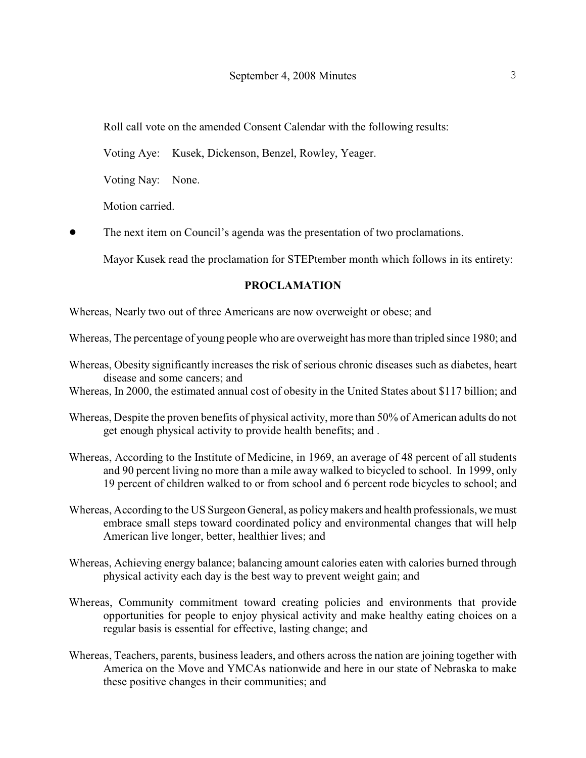Roll call vote on the amended Consent Calendar with the following results:

Voting Aye: Kusek, Dickenson, Benzel, Rowley, Yeager.

Voting Nay: None.

Motion carried.

• The next item on Council's agenda was the presentation of two proclamations.

Mayor Kusek read the proclamation for STEPtember month which follows in its entirety:

### **PROCLAMATION**

Whereas, Nearly two out of three Americans are now overweight or obese; and

Whereas, The percentage of young people who are overweight has more than tripled since 1980; and

- Whereas, Obesity significantly increases the risk of serious chronic diseases such as diabetes, heart disease and some cancers; and
- Whereas, In 2000, the estimated annual cost of obesity in the United States about \$117 billion; and
- Whereas, Despite the proven benefits of physical activity, more than 50% of American adults do not get enough physical activity to provide health benefits; and .
- Whereas, According to the Institute of Medicine, in 1969, an average of 48 percent of all students and 90 percent living no more than a mile away walked to bicycled to school. In 1999, only 19 percent of children walked to or from school and 6 percent rode bicycles to school; and
- Whereas, According to the US Surgeon General, as policy makers and health professionals, we must embrace small steps toward coordinated policy and environmental changes that will help American live longer, better, healthier lives; and
- Whereas, Achieving energy balance; balancing amount calories eaten with calories burned through physical activity each day is the best way to prevent weight gain; and
- Whereas, Community commitment toward creating policies and environments that provide opportunities for people to enjoy physical activity and make healthy eating choices on a regular basis is essential for effective, lasting change; and
- Whereas, Teachers, parents, business leaders, and others across the nation are joining together with America on the Move and YMCAs nationwide and here in our state of Nebraska to make these positive changes in their communities; and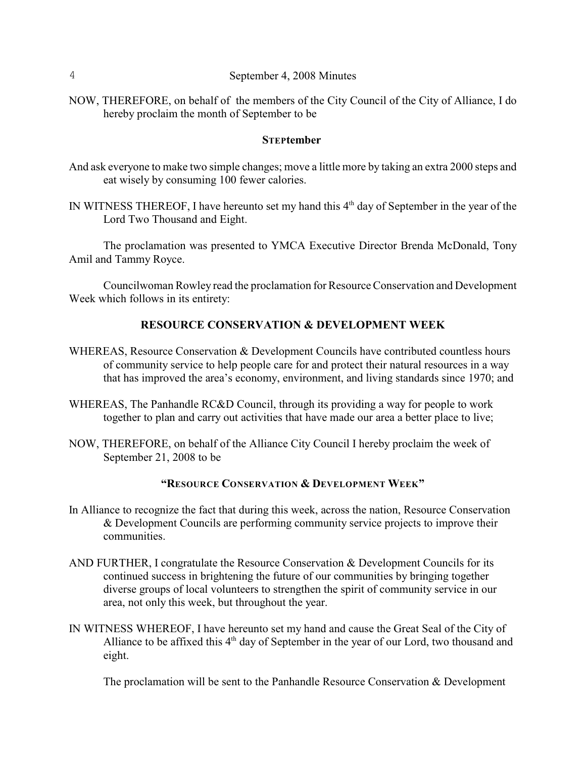NOW, THEREFORE, on behalf of the members of the City Council of the City of Alliance, I do hereby proclaim the month of September to be

#### **STEPtember**

- And ask everyone to make two simple changes; move a little more by taking an extra 2000 steps and eat wisely by consuming 100 fewer calories.
- IN WITNESS THEREOF, I have hereunto set my hand this  $4<sup>th</sup>$  day of September in the year of the Lord Two Thousand and Eight.

The proclamation was presented to YMCA Executive Director Brenda McDonald, Tony Amil and Tammy Royce.

Councilwoman Rowley read the proclamation for ResourceConservation and Development Week which follows in its entirety:

### **RESOURCE CONSERVATION & DEVELOPMENT WEEK**

- WHEREAS, Resource Conservation & Development Councils have contributed countless hours of community service to help people care for and protect their natural resources in a way that has improved the area's economy, environment, and living standards since 1970; and
- WHEREAS, The Panhandle RC&D Council, through its providing a way for people to work together to plan and carry out activities that have made our area a better place to live;
- NOW, THEREFORE, on behalf of the Alliance City Council I hereby proclaim the week of September 21, 2008 to be

# **"RESOURCE CONSERVATION & DEVELOPMENT WEEK"**

- In Alliance to recognize the fact that during this week, across the nation, Resource Conservation & Development Councils are performing community service projects to improve their communities.
- AND FURTHER, I congratulate the Resource Conservation & Development Councils for its continued success in brightening the future of our communities by bringing together diverse groups of local volunteers to strengthen the spirit of community service in our area, not only this week, but throughout the year.
- IN WITNESS WHEREOF, I have hereunto set my hand and cause the Great Seal of the City of Alliance to be affixed this 4<sup>th</sup> day of September in the year of our Lord, two thousand and eight.

The proclamation will be sent to the Panhandle Resource Conservation  $\&$  Development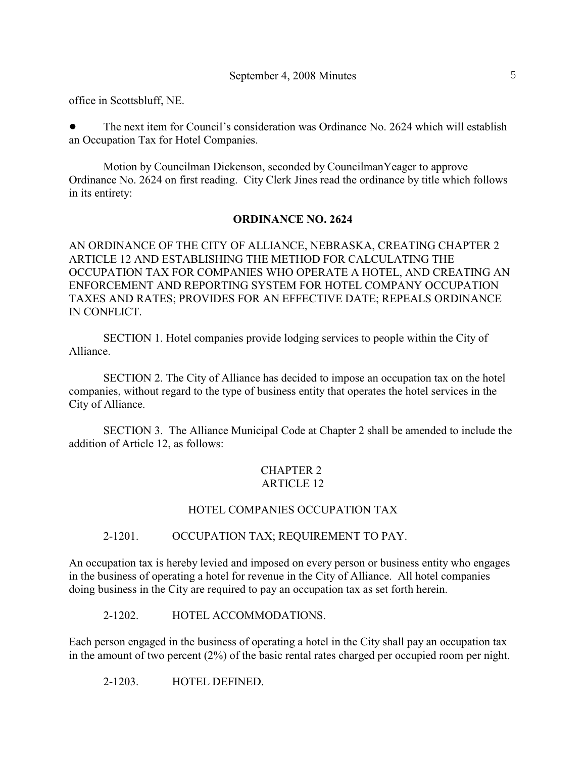office in Scottsbluff, NE.

• The next item for Council's consideration was Ordinance No. 2624 which will establish an Occupation Tax for Hotel Companies.

Motion by Councilman Dickenson, seconded by CouncilmanYeager to approve Ordinance No. 2624 on first reading. City Clerk Jines read the ordinance by title which follows in its entirety:

### **ORDINANCE NO. 2624**

AN ORDINANCE OF THE CITY OF ALLIANCE, NEBRASKA, CREATING CHAPTER 2 ARTICLE 12 AND ESTABLISHING THE METHOD FOR CALCULATING THE OCCUPATION TAX FOR COMPANIES WHO OPERATE A HOTEL, AND CREATING AN ENFORCEMENT AND REPORTING SYSTEM FOR HOTEL COMPANY OCCUPATION TAXES AND RATES; PROVIDES FOR AN EFFECTIVE DATE; REPEALS ORDINANCE IN CONFLICT.

SECTION 1. Hotel companies provide lodging services to people within the City of Alliance.

SECTION 2. The City of Alliance has decided to impose an occupation tax on the hotel companies, without regard to the type of business entity that operates the hotel services in the City of Alliance.

SECTION 3. The Alliance Municipal Code at Chapter 2 shall be amended to include the addition of Article 12, as follows:

### CHAPTER 2 ARTICLE 12

### HOTEL COMPANIES OCCUPATION TAX

### 2-1201. OCCUPATION TAX; REQUIREMENT TO PAY.

An occupation tax is hereby levied and imposed on every person or business entity who engages in the business of operating a hotel for revenue in the City of Alliance. All hotel companies doing business in the City are required to pay an occupation tax as set forth herein.

2-1202. HOTEL ACCOMMODATIONS.

Each person engaged in the business of operating a hotel in the City shall pay an occupation tax in the amount of two percent (2%) of the basic rental rates charged per occupied room per night.

2-1203. HOTEL DEFINED.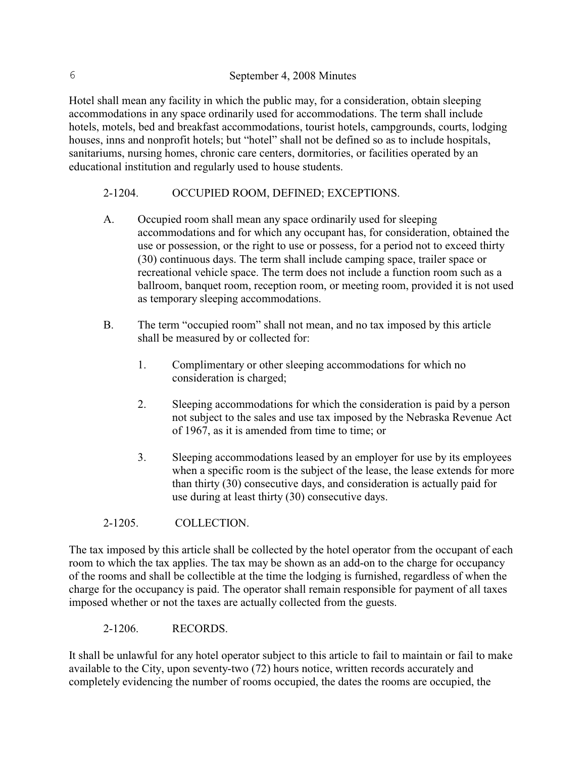Hotel shall mean any facility in which the public may, for a consideration, obtain sleeping accommodations in any space ordinarily used for accommodations. The term shall include hotels, motels, bed and breakfast accommodations, tourist hotels, campgrounds, courts, lodging houses, inns and nonprofit hotels; but "hotel" shall not be defined so as to include hospitals, sanitariums, nursing homes, chronic care centers, dormitories, or facilities operated by an educational institution and regularly used to house students.

# 2-1204. OCCUPIED ROOM, DEFINED; EXCEPTIONS.

- A. Occupied room shall mean any space ordinarily used for sleeping accommodations and for which any occupant has, for consideration, obtained the use or possession, or the right to use or possess, for a period not to exceed thirty (30) continuous days. The term shall include camping space, trailer space or recreational vehicle space. The term does not include a function room such as a ballroom, banquet room, reception room, or meeting room, provided it is not used as temporary sleeping accommodations.
- B. The term "occupied room" shall not mean, and no tax imposed by this article shall be measured by or collected for:
	- 1. Complimentary or other sleeping accommodations for which no consideration is charged;
	- 2. Sleeping accommodations for which the consideration is paid by a person not subject to the sales and use tax imposed by the Nebraska Revenue Act of 1967, as it is amended from time to time; or
	- 3. Sleeping accommodations leased by an employer for use by its employees when a specific room is the subject of the lease, the lease extends for more than thirty (30) consecutive days, and consideration is actually paid for use during at least thirty (30) consecutive days.
- 2-1205. COLLECTION.

The tax imposed by this article shall be collected by the hotel operator from the occupant of each room to which the tax applies. The tax may be shown as an add-on to the charge for occupancy of the rooms and shall be collectible at the time the lodging is furnished, regardless of when the charge for the occupancy is paid. The operator shall remain responsible for payment of all taxes imposed whether or not the taxes are actually collected from the guests.

2-1206. RECORDS.

It shall be unlawful for any hotel operator subject to this article to fail to maintain or fail to make available to the City, upon seventy-two (72) hours notice, written records accurately and completely evidencing the number of rooms occupied, the dates the rooms are occupied, the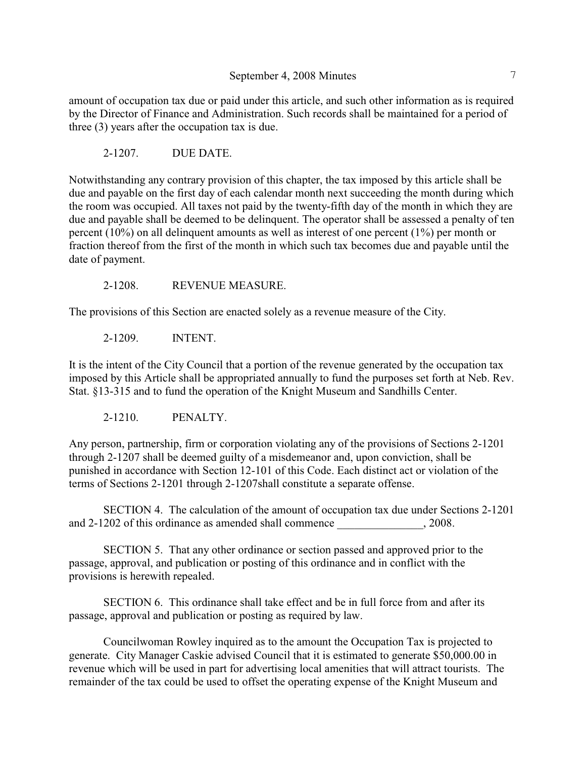amount of occupation tax due or paid under this article, and such other information as is required by the Director of Finance and Administration. Such records shall be maintained for a period of three (3) years after the occupation tax is due.

2-1207. DUE DATE.

Notwithstanding any contrary provision of this chapter, the tax imposed by this article shall be due and payable on the first day of each calendar month next succeeding the month during which the room was occupied. All taxes not paid by the twenty-fifth day of the month in which they are due and payable shall be deemed to be delinquent. The operator shall be assessed a penalty of ten percent (10%) on all delinquent amounts as well as interest of one percent (1%) per month or fraction thereof from the first of the month in which such tax becomes due and payable until the date of payment.

2-1208. REVENUE MEASURE.

The provisions of this Section are enacted solely as a revenue measure of the City.

2-1209. INTENT.

It is the intent of the City Council that a portion of the revenue generated by the occupation tax imposed by this Article shall be appropriated annually to fund the purposes set forth at Neb. Rev. Stat. §13-315 and to fund the operation of the Knight Museum and Sandhills Center.

2-1210. PENALTY.

Any person, partnership, firm or corporation violating any of the provisions of Sections 2-1201 through 2-1207 shall be deemed guilty of a misdemeanor and, upon conviction, shall be punished in accordance with Section 12-101 of this Code. Each distinct act or violation of the terms of Sections 2-1201 through 2-1207shall constitute a separate offense.

SECTION 4. The calculation of the amount of occupation tax due under Sections 2-1201 and 2-1202 of this ordinance as amended shall commence  $\qquad \qquad$ , 2008.

SECTION 5. That any other ordinance or section passed and approved prior to the passage, approval, and publication or posting of this ordinance and in conflict with the provisions is herewith repealed.

SECTION 6. This ordinance shall take effect and be in full force from and after its passage, approval and publication or posting as required by law.

Councilwoman Rowley inquired as to the amount the Occupation Tax is projected to generate. City Manager Caskie advised Council that it is estimated to generate \$50,000.00 in revenue which will be used in part for advertising local amenities that will attract tourists. The remainder of the tax could be used to offset the operating expense of the Knight Museum and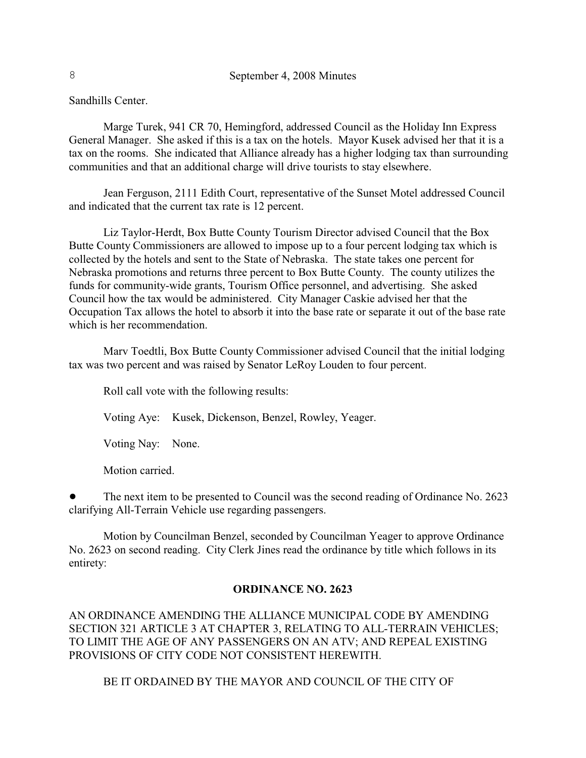Sandhills Center.

Marge Turek, 941 CR 70, Hemingford, addressed Council as the Holiday Inn Express General Manager. She asked if this is a tax on the hotels. Mayor Kusek advised her that it is a tax on the rooms. She indicated that Alliance already has a higher lodging tax than surrounding communities and that an additional charge will drive tourists to stay elsewhere.

Jean Ferguson, 2111 Edith Court, representative of the Sunset Motel addressed Council and indicated that the current tax rate is 12 percent.

Liz Taylor-Herdt, Box Butte County Tourism Director advised Council that the Box Butte County Commissioners are allowed to impose up to a four percent lodging tax which is collected by the hotels and sent to the State of Nebraska. The state takes one percent for Nebraska promotions and returns three percent to Box Butte County. The county utilizes the funds for community-wide grants, Tourism Office personnel, and advertising. She asked Council how the tax would be administered. City Manager Caskie advised her that the Occupation Tax allows the hotel to absorb it into the base rate or separate it out of the base rate which is her recommendation.

Marv Toedtli, Box Butte County Commissioner advised Council that the initial lodging tax was two percent and was raised by Senator LeRoy Louden to four percent.

Roll call vote with the following results:

Voting Aye: Kusek, Dickenson, Benzel, Rowley, Yeager.

Voting Nay: None.

Motion carried.

! The next item to be presented to Council was the second reading of Ordinance No. 2623 clarifying All-Terrain Vehicle use regarding passengers.

Motion by Councilman Benzel, seconded by Councilman Yeager to approve Ordinance No. 2623 on second reading. City Clerk Jines read the ordinance by title which follows in its entirety:

### **ORDINANCE NO. 2623**

AN ORDINANCE AMENDING THE ALLIANCE MUNICIPAL CODE BY AMENDING SECTION 321 ARTICLE 3 AT CHAPTER 3, RELATING TO ALL-TERRAIN VEHICLES; TO LIMIT THE AGE OF ANY PASSENGERS ON AN ATV; AND REPEAL EXISTING PROVISIONS OF CITY CODE NOT CONSISTENT HEREWITH.

BE IT ORDAINED BY THE MAYOR AND COUNCIL OF THE CITY OF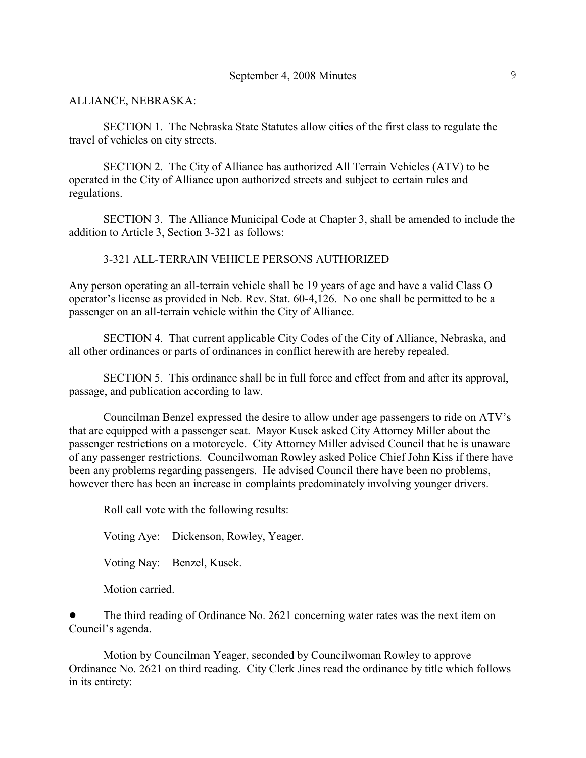### ALLIANCE, NEBRASKA:

SECTION 1. The Nebraska State Statutes allow cities of the first class to regulate the travel of vehicles on city streets.

SECTION 2. The City of Alliance has authorized All Terrain Vehicles (ATV) to be operated in the City of Alliance upon authorized streets and subject to certain rules and regulations.

SECTION 3. The Alliance Municipal Code at Chapter 3, shall be amended to include the addition to Article 3, Section 3-321 as follows:

### 3-321 ALL-TERRAIN VEHICLE PERSONS AUTHORIZED

Any person operating an all-terrain vehicle shall be 19 years of age and have a valid Class O operator's license as provided in Neb. Rev. Stat. 60-4,126. No one shall be permitted to be a passenger on an all-terrain vehicle within the City of Alliance.

SECTION 4. That current applicable City Codes of the City of Alliance, Nebraska, and all other ordinances or parts of ordinances in conflict herewith are hereby repealed.

SECTION 5. This ordinance shall be in full force and effect from and after its approval, passage, and publication according to law.

Councilman Benzel expressed the desire to allow under age passengers to ride on ATV's that are equipped with a passenger seat. Mayor Kusek asked City Attorney Miller about the passenger restrictions on a motorcycle. City Attorney Miller advised Council that he is unaware of any passenger restrictions. Councilwoman Rowley asked Police Chief John Kiss if there have been any problems regarding passengers. He advised Council there have been no problems, however there has been an increase in complaints predominately involving younger drivers.

Roll call vote with the following results:

Voting Aye: Dickenson, Rowley, Yeager.

Voting Nay: Benzel, Kusek.

Motion carried.

! The third reading of Ordinance No. 2621 concerning water rates was the next item on Council's agenda.

Motion by Councilman Yeager, seconded by Councilwoman Rowley to approve Ordinance No. 2621 on third reading. City Clerk Jines read the ordinance by title which follows in its entirety: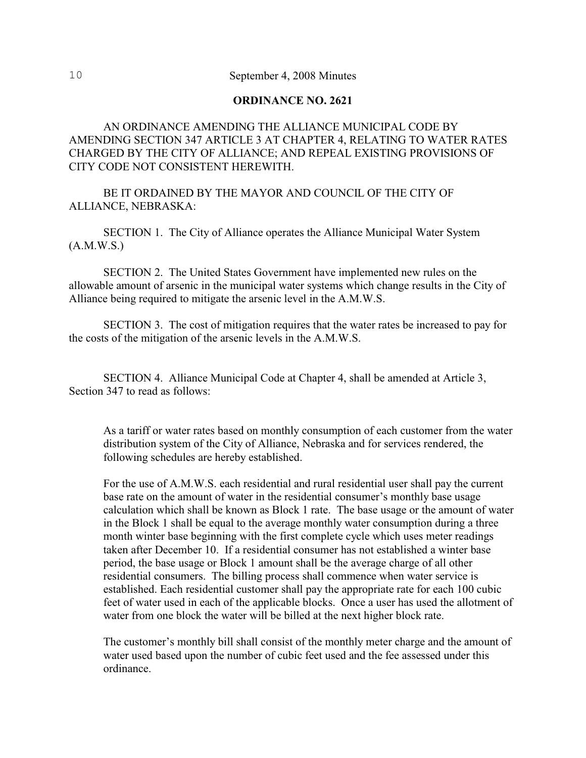### **ORDINANCE NO. 2621**

# AN ORDINANCE AMENDING THE ALLIANCE MUNICIPAL CODE BY AMENDING SECTION 347 ARTICLE 3 AT CHAPTER 4, RELATING TO WATER RATES CHARGED BY THE CITY OF ALLIANCE; AND REPEAL EXISTING PROVISIONS OF CITY CODE NOT CONSISTENT HEREWITH.

BE IT ORDAINED BY THE MAYOR AND COUNCIL OF THE CITY OF ALLIANCE, NEBRASKA:

SECTION 1. The City of Alliance operates the Alliance Municipal Water System (A.M.W.S.)

SECTION 2. The United States Government have implemented new rules on the allowable amount of arsenic in the municipal water systems which change results in the City of Alliance being required to mitigate the arsenic level in the A.M.W.S.

SECTION 3. The cost of mitigation requires that the water rates be increased to pay for the costs of the mitigation of the arsenic levels in the A.M.W.S.

SECTION 4. Alliance Municipal Code at Chapter 4, shall be amended at Article 3, Section 347 to read as follows:

As a tariff or water rates based on monthly consumption of each customer from the water distribution system of the City of Alliance, Nebraska and for services rendered, the following schedules are hereby established.

For the use of A.M.W.S. each residential and rural residential user shall pay the current base rate on the amount of water in the residential consumer's monthly base usage calculation which shall be known as Block 1 rate. The base usage or the amount of water in the Block 1 shall be equal to the average monthly water consumption during a three month winter base beginning with the first complete cycle which uses meter readings taken after December 10. If a residential consumer has not established a winter base period, the base usage or Block 1 amount shall be the average charge of all other residential consumers. The billing process shall commence when water service is established. Each residential customer shall pay the appropriate rate for each 100 cubic feet of water used in each of the applicable blocks. Once a user has used the allotment of water from one block the water will be billed at the next higher block rate.

The customer's monthly bill shall consist of the monthly meter charge and the amount of water used based upon the number of cubic feet used and the fee assessed under this ordinance.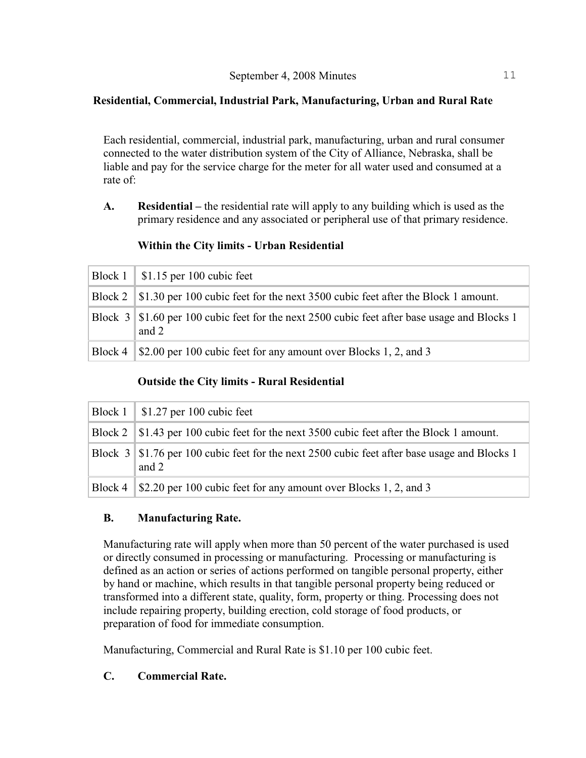# **Residential, Commercial, Industrial Park, Manufacturing, Urban and Rural Rate**

Each residential, commercial, industrial park, manufacturing, urban and rural consumer connected to the water distribution system of the City of Alliance, Nebraska, shall be liable and pay for the service charge for the meter for all water used and consumed at a rate of:

**A. Residential –** the residential rate will apply to any building which is used as the primary residence and any associated or peripheral use of that primary residence.

# **Within the City limits - Urban Residential**

|         | Block $1 \mid $1.15$ per 100 cubic feet                                                                 |
|---------|---------------------------------------------------------------------------------------------------------|
|         | Block 2   \$1.30 per 100 cubic feet for the next 3500 cubic feet after the Block 1 amount.              |
|         | Block 3   \$1.60 per 100 cubic feet for the next 2500 cubic feet after base usage and Blocks 1<br>and 2 |
| Block 4 | S2.00 per 100 cubic feet for any amount over Blocks 1, 2, and 3                                         |

# **Outside the City limits - Rural Residential**

| $\vert$ Block 1 $\vert$ \$1.27 per 100 cubic feet                                                     |
|-------------------------------------------------------------------------------------------------------|
| Block 2   \$1.43 per 100 cubic feet for the next 3500 cubic feet after the Block 1 amount.            |
| Block 3 \$1.76 per 100 cubic feet for the next 2500 cubic feet after base usage and Blocks 1<br>and 2 |
| Block 4 \ \ \ \ \ \ \ 2.20 per 100 cubic feet for any amount over Blocks 1, 2, and 3                  |

# **B. Manufacturing Rate.**

Manufacturing rate will apply when more than 50 percent of the water purchased is used or directly consumed in processing or manufacturing. Processing or manufacturing is defined as an action or series of actions performed on tangible personal property, either by hand or machine, which results in that tangible personal property being reduced or transformed into a different state, quality, form, property or thing. Processing does not include repairing property, building erection, cold storage of food products, or preparation of food for immediate consumption.

Manufacturing, Commercial and Rural Rate is \$1.10 per 100 cubic feet.

# **C. Commercial Rate.**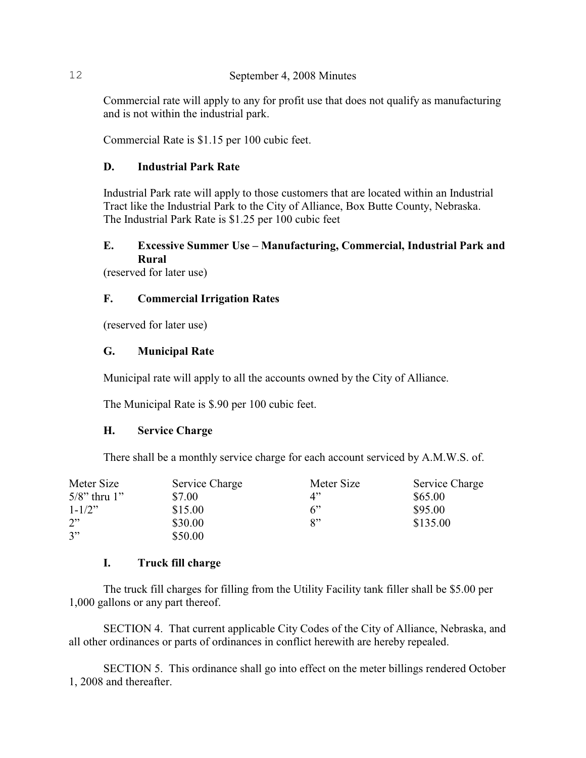Commercial rate will apply to any for profit use that does not qualify as manufacturing and is not within the industrial park.

Commercial Rate is \$1.15 per 100 cubic feet.

# **D. Industrial Park Rate**

Industrial Park rate will apply to those customers that are located within an Industrial Tract like the Industrial Park to the City of Alliance, Box Butte County, Nebraska. The Industrial Park Rate is \$1.25 per 100 cubic feet

# **E. Excessive Summer Use – Manufacturing, Commercial, Industrial Park and Rural**

(reserved for later use)

# **F. Commercial Irrigation Rates**

(reserved for later use)

### **G. Municipal Rate**

Municipal rate will apply to all the accounts owned by the City of Alliance.

The Municipal Rate is \$.90 per 100 cubic feet.

### **H. Service Charge**

There shall be a monthly service charge for each account serviced by A.M.W.S. of.

| Meter Size             | Service Charge | Meter Size | Service Charge |
|------------------------|----------------|------------|----------------|
| $5/8$ " thru $1$ "     | \$7.00         | 4"         | \$65.00        |
| $1 - 1/2$ <sup>"</sup> | \$15.00        | 6"         | \$95.00        |
| 2"                     | \$30.00        | 8"         | \$135.00       |
| 3"                     | \$50.00        |            |                |

### **I. Truck fill charge**

The truck fill charges for filling from the Utility Facility tank filler shall be \$5.00 per 1,000 gallons or any part thereof.

SECTION 4. That current applicable City Codes of the City of Alliance, Nebraska, and all other ordinances or parts of ordinances in conflict herewith are hereby repealed.

SECTION 5. This ordinance shall go into effect on the meter billings rendered October 1, 2008 and thereafter.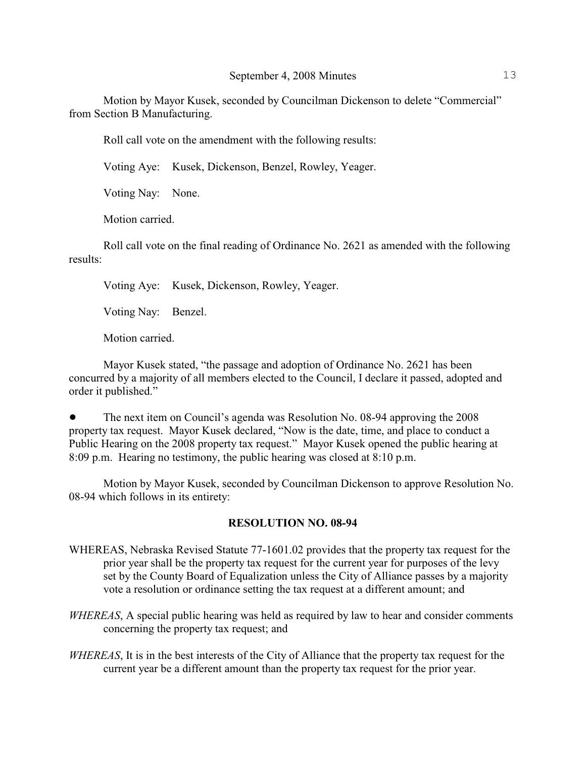Motion by Mayor Kusek, seconded by Councilman Dickenson to delete "Commercial" from Section B Manufacturing.

Roll call vote on the amendment with the following results:

Voting Aye: Kusek, Dickenson, Benzel, Rowley, Yeager.

Voting Nay: None.

Motion carried.

Roll call vote on the final reading of Ordinance No. 2621 as amended with the following results:

Voting Aye: Kusek, Dickenson, Rowley, Yeager.

Voting Nay: Benzel.

Motion carried.

Mayor Kusek stated, "the passage and adoption of Ordinance No. 2621 has been concurred by a majority of all members elected to the Council, I declare it passed, adopted and order it published."

! The next item on Council's agenda was Resolution No. 08-94 approving the 2008 property tax request. Mayor Kusek declared, "Now is the date, time, and place to conduct a Public Hearing on the 2008 property tax request." Mayor Kusek opened the public hearing at 8:09 p.m. Hearing no testimony, the public hearing was closed at 8:10 p.m.

Motion by Mayor Kusek, seconded by Councilman Dickenson to approve Resolution No. 08-94 which follows in its entirety:

### **RESOLUTION NO. 08-94**

- WHEREAS, Nebraska Revised Statute 77-1601.02 provides that the property tax request for the prior year shall be the property tax request for the current year for purposes of the levy set by the County Board of Equalization unless the City of Alliance passes by a majority vote a resolution or ordinance setting the tax request at a different amount; and
- *WHEREAS*, A special public hearing was held as required by law to hear and consider comments concerning the property tax request; and
- *WHEREAS*, It is in the best interests of the City of Alliance that the property tax request for the current year be a different amount than the property tax request for the prior year.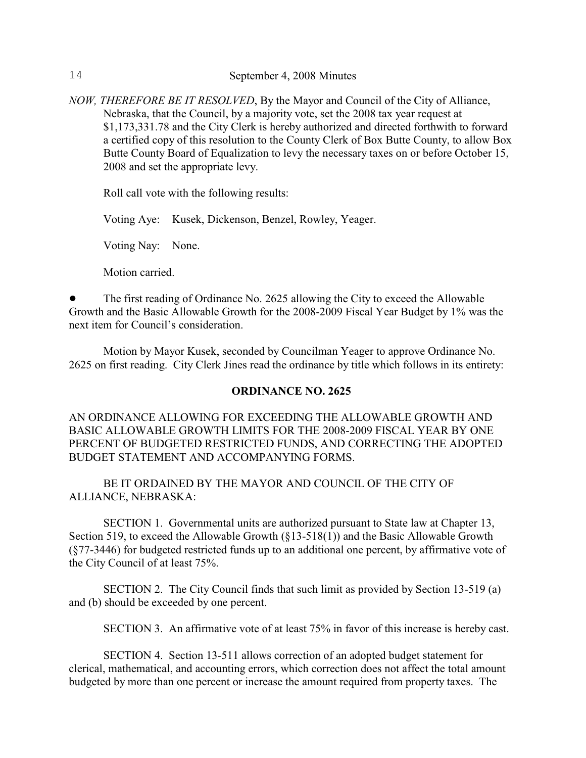*NOW, THEREFORE BE IT RESOLVED*, By the Mayor and Council of the City of Alliance, Nebraska, that the Council, by a majority vote, set the 2008 tax year request at \$1,173,331.78 and the City Clerk is hereby authorized and directed forthwith to forward a certified copy of this resolution to the County Clerk of Box Butte County, to allow Box Butte County Board of Equalization to levy the necessary taxes on or before October 15, 2008 and set the appropriate levy.

Roll call vote with the following results:

Voting Aye: Kusek, Dickenson, Benzel, Rowley, Yeager.

Voting Nay: None.

Motion carried.

! The first reading of Ordinance No. 2625 allowing the City to exceed the Allowable Growth and the Basic Allowable Growth for the 2008-2009 Fiscal Year Budget by 1% was the next item for Council's consideration.

Motion by Mayor Kusek, seconded by Councilman Yeager to approve Ordinance No. 2625 on first reading. City Clerk Jines read the ordinance by title which follows in its entirety:

### **ORDINANCE NO. 2625**

# AN ORDINANCE ALLOWING FOR EXCEEDING THE ALLOWABLE GROWTH AND BASIC ALLOWABLE GROWTH LIMITS FOR THE 2008-2009 FISCAL YEAR BY ONE PERCENT OF BUDGETED RESTRICTED FUNDS, AND CORRECTING THE ADOPTED BUDGET STATEMENT AND ACCOMPANYING FORMS.

BE IT ORDAINED BY THE MAYOR AND COUNCIL OF THE CITY OF ALLIANCE, NEBRASKA:

SECTION 1. Governmental units are authorized pursuant to State law at Chapter 13, Section 519, to exceed the Allowable Growth (§13-518(1)) and the Basic Allowable Growth (§77-3446) for budgeted restricted funds up to an additional one percent, by affirmative vote of the City Council of at least 75%.

SECTION 2. The City Council finds that such limit as provided by Section 13-519 (a) and (b) should be exceeded by one percent.

SECTION 3. An affirmative vote of at least 75% in favor of this increase is hereby cast.

SECTION 4. Section 13-511 allows correction of an adopted budget statement for clerical, mathematical, and accounting errors, which correction does not affect the total amount budgeted by more than one percent or increase the amount required from property taxes. The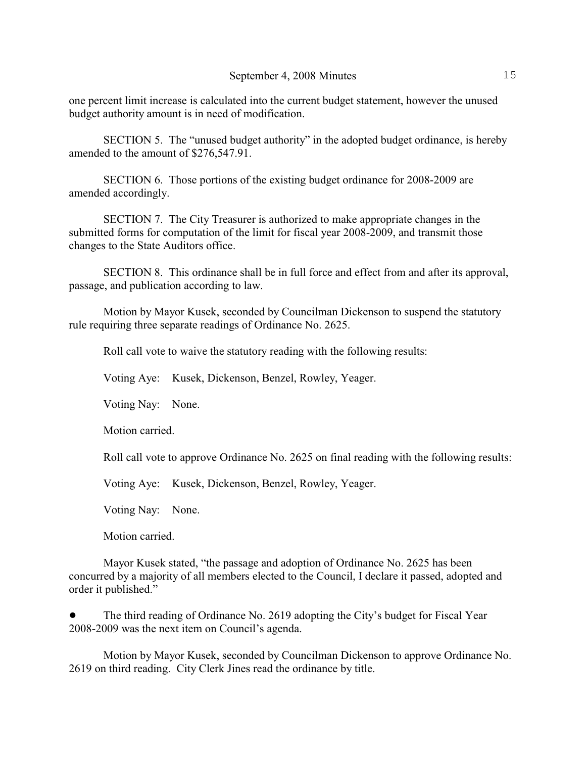one percent limit increase is calculated into the current budget statement, however the unused budget authority amount is in need of modification.

SECTION 5. The "unused budget authority" in the adopted budget ordinance, is hereby amended to the amount of \$276,547.91.

SECTION 6. Those portions of the existing budget ordinance for 2008-2009 are amended accordingly.

SECTION 7. The City Treasurer is authorized to make appropriate changes in the submitted forms for computation of the limit for fiscal year 2008-2009, and transmit those changes to the State Auditors office.

SECTION 8. This ordinance shall be in full force and effect from and after its approval, passage, and publication according to law.

Motion by Mayor Kusek, seconded by Councilman Dickenson to suspend the statutory rule requiring three separate readings of Ordinance No. 2625.

Roll call vote to waive the statutory reading with the following results:

Voting Aye: Kusek, Dickenson, Benzel, Rowley, Yeager.

Voting Nay: None.

Motion carried.

Roll call vote to approve Ordinance No. 2625 on final reading with the following results:

Voting Aye: Kusek, Dickenson, Benzel, Rowley, Yeager.

Voting Nay: None.

Motion carried.

Mayor Kusek stated, "the passage and adoption of Ordinance No. 2625 has been concurred by a majority of all members elected to the Council, I declare it passed, adopted and order it published."

! The third reading of Ordinance No. 2619 adopting the City's budget for Fiscal Year 2008-2009 was the next item on Council's agenda.

Motion by Mayor Kusek, seconded by Councilman Dickenson to approve Ordinance No. 2619 on third reading. City Clerk Jines read the ordinance by title.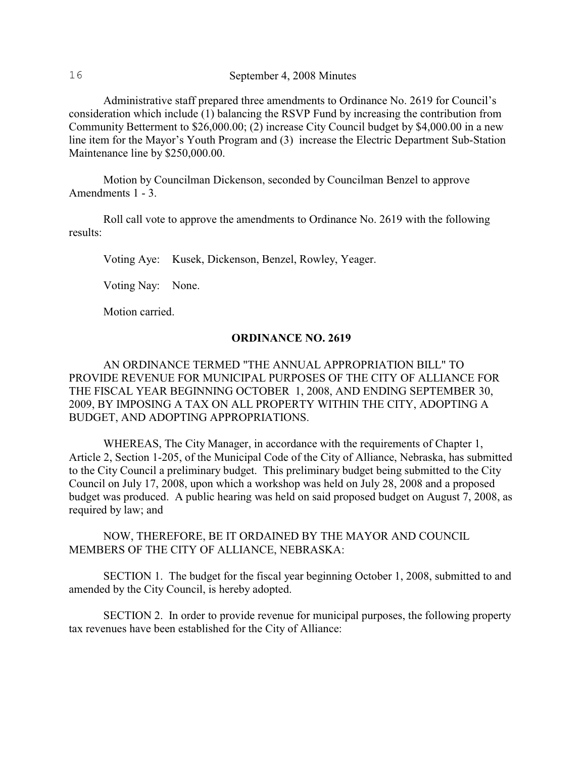Administrative staff prepared three amendments to Ordinance No. 2619 for Council's consideration which include (1) balancing the RSVP Fund by increasing the contribution from Community Betterment to \$26,000.00; (2) increase City Council budget by \$4,000.00 in a new line item for the Mayor's Youth Program and (3) increase the Electric Department Sub-Station Maintenance line by \$250,000.00.

Motion by Councilman Dickenson, seconded by Councilman Benzel to approve Amendments 1 - 3.

Roll call vote to approve the amendments to Ordinance No. 2619 with the following results:

Voting Aye: Kusek, Dickenson, Benzel, Rowley, Yeager.

Voting Nay: None.

Motion carried.

### **ORDINANCE NO. 2619**

AN ORDINANCE TERMED "THE ANNUAL APPROPRIATION BILL" TO PROVIDE REVENUE FOR MUNICIPAL PURPOSES OF THE CITY OF ALLIANCE FOR THE FISCAL YEAR BEGINNING OCTOBER 1, 2008, AND ENDING SEPTEMBER 30, 2009, BY IMPOSING A TAX ON ALL PROPERTY WITHIN THE CITY, ADOPTING A BUDGET, AND ADOPTING APPROPRIATIONS.

WHEREAS, The City Manager, in accordance with the requirements of Chapter 1, Article 2, Section 1-205, of the Municipal Code of the City of Alliance, Nebraska, has submitted to the City Council a preliminary budget. This preliminary budget being submitted to the City Council on July 17, 2008, upon which a workshop was held on July 28, 2008 and a proposed budget was produced. A public hearing was held on said proposed budget on August 7, 2008, as required by law; and

NOW, THEREFORE, BE IT ORDAINED BY THE MAYOR AND COUNCIL MEMBERS OF THE CITY OF ALLIANCE, NEBRASKA:

SECTION 1. The budget for the fiscal year beginning October 1, 2008, submitted to and amended by the City Council, is hereby adopted.

SECTION 2. In order to provide revenue for municipal purposes, the following property tax revenues have been established for the City of Alliance: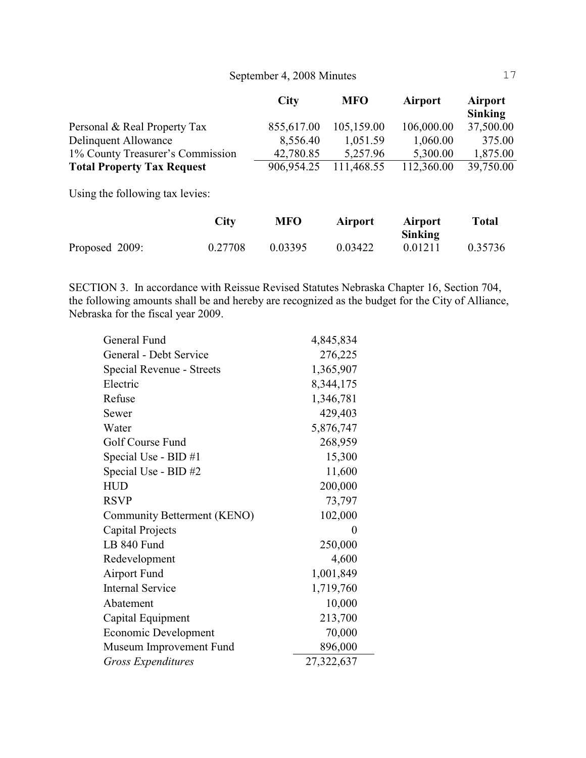|                                   | <b>City</b> | <b>MFO</b> | <b>Airport</b> | <b>Airport</b><br>Sinking |
|-----------------------------------|-------------|------------|----------------|---------------------------|
| Personal & Real Property Tax      | 855,617.00  | 105,159.00 | 106,000.00     | 37,500.00                 |
| Delinquent Allowance              | 8,556.40    | 1,051.59   | 1,060.00       | 375.00                    |
| 1% County Treasurer's Commission  | 42,780.85   | 5,257.96   | 5,300.00       | 1,875.00                  |
| <b>Total Property Tax Request</b> | 906,954.25  | 111,468.55 | 112,360.00     | 39,750.00                 |

Using the following tax levies:

|                | <b>City</b> | <b>MFO</b> | Airport | <b>Airport</b><br><b>Sinking</b> | <b>Total</b> |
|----------------|-------------|------------|---------|----------------------------------|--------------|
| Proposed 2009: | 0.27708     | 0.03395    | 0.03422 | 0.01211                          | 0.35736      |

SECTION 3. In accordance with Reissue Revised Statutes Nebraska Chapter 16, Section 704, the following amounts shall be and hereby are recognized as the budget for the City of Alliance, Nebraska for the fiscal year 2009.

| General Fund                | 4,845,834  |
|-----------------------------|------------|
| General - Debt Service      | 276,225    |
| Special Revenue - Streets   | 1,365,907  |
| Electric                    | 8,344,175  |
| Refuse                      | 1,346,781  |
| Sewer                       | 429,403    |
| Water                       | 5,876,747  |
| Golf Course Fund            | 268,959    |
| Special Use - BID #1        | 15,300     |
| Special Use - BID #2        | 11,600     |
| <b>HUD</b>                  | 200,000    |
| <b>RSVP</b>                 | 73,797     |
| Community Betterment (KENO) | 102,000    |
| Capital Projects            | $\theta$   |
| LB 840 Fund                 | 250,000    |
| Redevelopment               | 4,600      |
| Airport Fund                | 1,001,849  |
| <b>Internal Service</b>     | 1,719,760  |
| Abatement                   | 10,000     |
| Capital Equipment           | 213,700    |
| Economic Development        | 70,000     |
| Museum Improvement Fund     | 896,000    |
| <b>Gross Expenditures</b>   | 27,322,637 |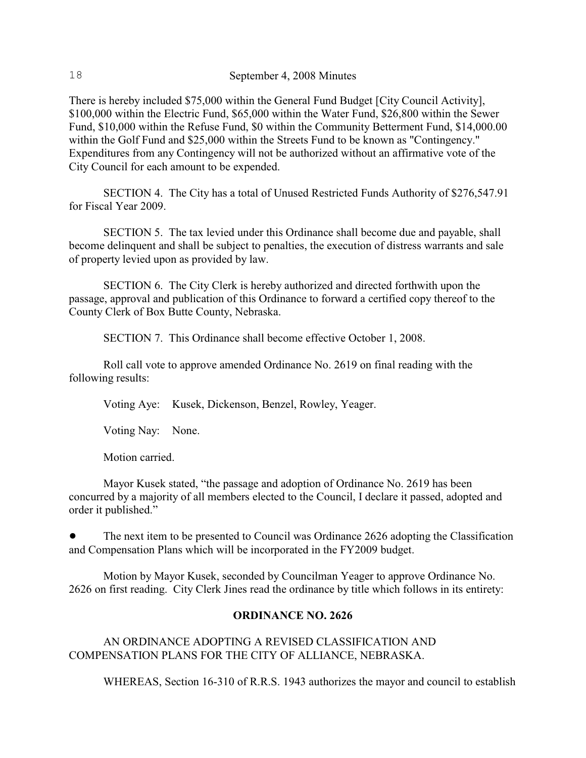There is hereby included \$75,000 within the General Fund Budget [City Council Activity], \$100,000 within the Electric Fund, \$65,000 within the Water Fund, \$26,800 within the Sewer Fund, \$10,000 within the Refuse Fund, \$0 within the Community Betterment Fund, \$14,000.00 within the Golf Fund and \$25,000 within the Streets Fund to be known as "Contingency." Expenditures from any Contingency will not be authorized without an affirmative vote of the City Council for each amount to be expended.

SECTION 4. The City has a total of Unused Restricted Funds Authority of \$276,547.91 for Fiscal Year 2009.

SECTION 5. The tax levied under this Ordinance shall become due and payable, shall become delinquent and shall be subject to penalties, the execution of distress warrants and sale of property levied upon as provided by law.

SECTION 6. The City Clerk is hereby authorized and directed forthwith upon the passage, approval and publication of this Ordinance to forward a certified copy thereof to the County Clerk of Box Butte County, Nebraska.

SECTION 7. This Ordinance shall become effective October 1, 2008.

Roll call vote to approve amended Ordinance No. 2619 on final reading with the following results:

Voting Aye: Kusek, Dickenson, Benzel, Rowley, Yeager.

Voting Nay: None.

Motion carried.

Mayor Kusek stated, "the passage and adoption of Ordinance No. 2619 has been concurred by a majority of all members elected to the Council, I declare it passed, adopted and order it published."

The next item to be presented to Council was Ordinance 2626 adopting the Classification and Compensation Plans which will be incorporated in the FY2009 budget.

Motion by Mayor Kusek, seconded by Councilman Yeager to approve Ordinance No. 2626 on first reading. City Clerk Jines read the ordinance by title which follows in its entirety:

### **ORDINANCE NO. 2626**

AN ORDINANCE ADOPTING A REVISED CLASSIFICATION AND COMPENSATION PLANS FOR THE CITY OF ALLIANCE, NEBRASKA.

WHEREAS, Section 16-310 of R.R.S. 1943 authorizes the mayor and council to establish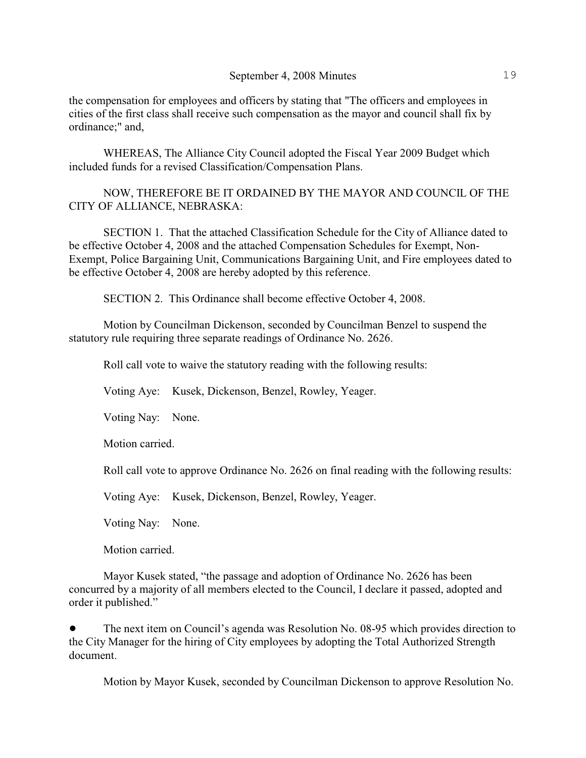the compensation for employees and officers by stating that "The officers and employees in cities of the first class shall receive such compensation as the mayor and council shall fix by ordinance;" and,

WHEREAS, The Alliance City Council adopted the Fiscal Year 2009 Budget which included funds for a revised Classification/Compensation Plans.

NOW, THEREFORE BE IT ORDAINED BY THE MAYOR AND COUNCIL OF THE CITY OF ALLIANCE, NEBRASKA:

SECTION 1. That the attached Classification Schedule for the City of Alliance dated to be effective October 4, 2008 and the attached Compensation Schedules for Exempt, Non-Exempt, Police Bargaining Unit, Communications Bargaining Unit, and Fire employees dated to be effective October 4, 2008 are hereby adopted by this reference.

SECTION 2. This Ordinance shall become effective October 4, 2008.

Motion by Councilman Dickenson, seconded by Councilman Benzel to suspend the statutory rule requiring three separate readings of Ordinance No. 2626.

Roll call vote to waive the statutory reading with the following results:

Voting Aye: Kusek, Dickenson, Benzel, Rowley, Yeager.

Voting Nay: None.

Motion carried.

Roll call vote to approve Ordinance No. 2626 on final reading with the following results:

Voting Aye: Kusek, Dickenson, Benzel, Rowley, Yeager.

Voting Nay: None.

Motion carried.

Mayor Kusek stated, "the passage and adoption of Ordinance No. 2626 has been concurred by a majority of all members elected to the Council, I declare it passed, adopted and order it published."

! The next item on Council's agenda was Resolution No. 08-95 which provides direction to the City Manager for the hiring of City employees by adopting the Total Authorized Strength document.

Motion by Mayor Kusek, seconded by Councilman Dickenson to approve Resolution No.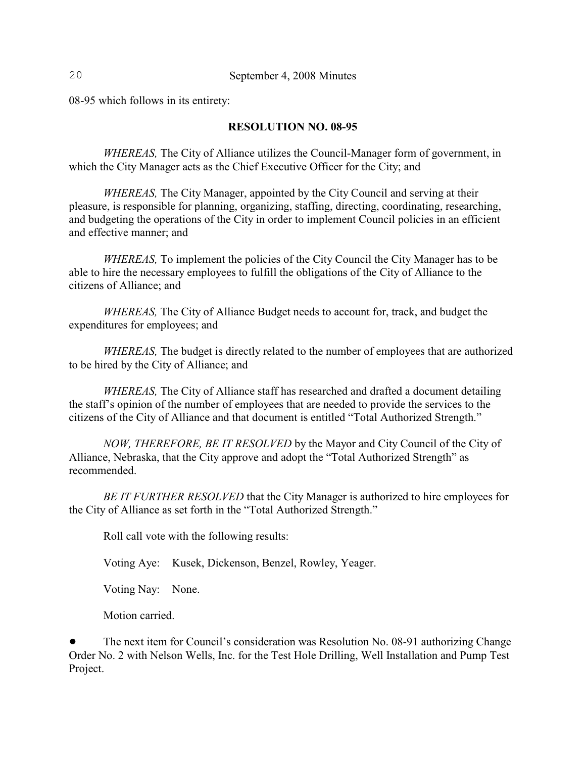08-95 which follows in its entirety:

### **RESOLUTION NO. 08-95**

*WHEREAS,* The City of Alliance utilizes the Council-Manager form of government, in which the City Manager acts as the Chief Executive Officer for the City; and

*WHEREAS,* The City Manager, appointed by the City Council and serving at their pleasure, is responsible for planning, organizing, staffing, directing, coordinating, researching, and budgeting the operations of the City in order to implement Council policies in an efficient and effective manner; and

*WHEREAS,* To implement the policies of the City Council the City Manager has to be able to hire the necessary employees to fulfill the obligations of the City of Alliance to the citizens of Alliance; and

*WHEREAS,* The City of Alliance Budget needs to account for, track, and budget the expenditures for employees; and

*WHEREAS,* The budget is directly related to the number of employees that are authorized to be hired by the City of Alliance; and

*WHEREAS,* The City of Alliance staff has researched and drafted a document detailing the staff's opinion of the number of employees that are needed to provide the services to the citizens of the City of Alliance and that document is entitled "Total Authorized Strength."

*NOW, THEREFORE, BE IT RESOLVED* by the Mayor and City Council of the City of Alliance, Nebraska, that the City approve and adopt the "Total Authorized Strength" as recommended.

*BE IT FURTHER RESOLVED* that the City Manager is authorized to hire employees for the City of Alliance as set forth in the "Total Authorized Strength."

Roll call vote with the following results:

Voting Aye: Kusek, Dickenson, Benzel, Rowley, Yeager.

Voting Nay: None.

Motion carried.

The next item for Council's consideration was Resolution No. 08-91 authorizing Change Order No. 2 with Nelson Wells, Inc. for the Test Hole Drilling, Well Installation and Pump Test Project.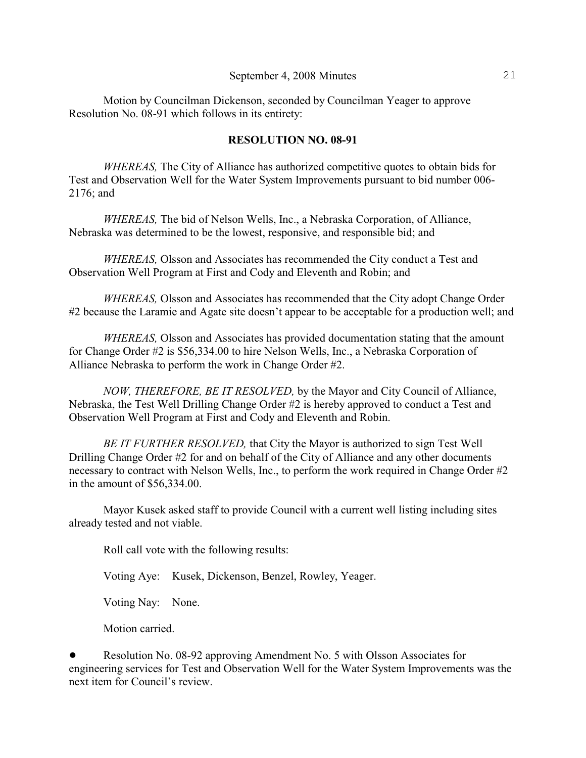Motion by Councilman Dickenson, seconded by Councilman Yeager to approve Resolution No. 08-91 which follows in its entirety:

### **RESOLUTION NO. 08-91**

*WHEREAS,* The City of Alliance has authorized competitive quotes to obtain bids for Test and Observation Well for the Water System Improvements pursuant to bid number 006- 2176; and

*WHEREAS,* The bid of Nelson Wells, Inc., a Nebraska Corporation, of Alliance, Nebraska was determined to be the lowest, responsive, and responsible bid; and

*WHEREAS,* Olsson and Associates has recommended the City conduct a Test and Observation Well Program at First and Cody and Eleventh and Robin; and

*WHEREAS,* Olsson and Associates has recommended that the City adopt Change Order #2 because the Laramie and Agate site doesn't appear to be acceptable for a production well; and

*WHEREAS,* Olsson and Associates has provided documentation stating that the amount for Change Order #2 is \$56,334.00 to hire Nelson Wells, Inc., a Nebraska Corporation of Alliance Nebraska to perform the work in Change Order #2.

*NOW, THEREFORE, BE IT RESOLVED,* by the Mayor and City Council of Alliance, Nebraska, the Test Well Drilling Change Order #2 is hereby approved to conduct a Test and Observation Well Program at First and Cody and Eleventh and Robin.

*BE IT FURTHER RESOLVED,* that City the Mayor is authorized to sign Test Well Drilling Change Order #2 for and on behalf of the City of Alliance and any other documents necessary to contract with Nelson Wells, Inc., to perform the work required in Change Order #2 in the amount of \$56,334.00.

Mayor Kusek asked staff to provide Council with a current well listing including sites already tested and not viable.

Roll call vote with the following results:

Voting Aye: Kusek, Dickenson, Benzel, Rowley, Yeager.

Voting Nay: None.

Motion carried.

• Resolution No. 08-92 approving Amendment No. 5 with Olsson Associates for engineering services for Test and Observation Well for the Water System Improvements was the next item for Council's review.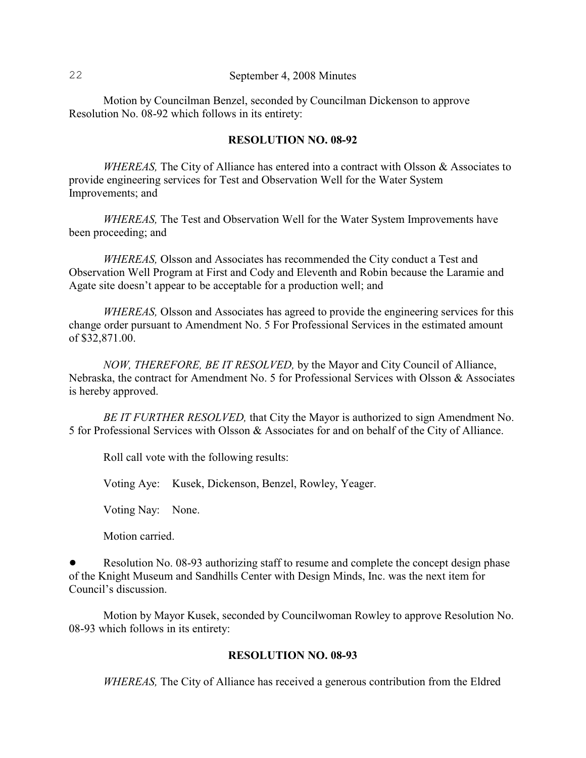Motion by Councilman Benzel, seconded by Councilman Dickenson to approve Resolution No. 08-92 which follows in its entirety:

### **RESOLUTION NO. 08-92**

*WHEREAS,* The City of Alliance has entered into a contract with Olsson & Associates to provide engineering services for Test and Observation Well for the Water System Improvements; and

*WHEREAS,* The Test and Observation Well for the Water System Improvements have been proceeding; and

*WHEREAS,* Olsson and Associates has recommended the City conduct a Test and Observation Well Program at First and Cody and Eleventh and Robin because the Laramie and Agate site doesn't appear to be acceptable for a production well; and

*WHEREAS,* Olsson and Associates has agreed to provide the engineering services for this change order pursuant to Amendment No. 5 For Professional Services in the estimated amount of \$32,871.00.

*NOW, THEREFORE, BE IT RESOLVED,* by the Mayor and City Council of Alliance, Nebraska, the contract for Amendment No. 5 for Professional Services with Olsson & Associates is hereby approved.

*BE IT FURTHER RESOLVED,* that City the Mayor is authorized to sign Amendment No. 5 for Professional Services with Olsson & Associates for and on behalf of the City of Alliance.

Roll call vote with the following results:

Voting Aye: Kusek, Dickenson, Benzel, Rowley, Yeager.

Voting Nay: None.

Motion carried.

Resolution No. 08-93 authorizing staff to resume and complete the concept design phase of the Knight Museum and Sandhills Center with Design Minds, Inc. was the next item for Council's discussion.

Motion by Mayor Kusek, seconded by Councilwoman Rowley to approve Resolution No. 08-93 which follows in its entirety:

### **RESOLUTION NO. 08-93**

*WHEREAS,* The City of Alliance has received a generous contribution from the Eldred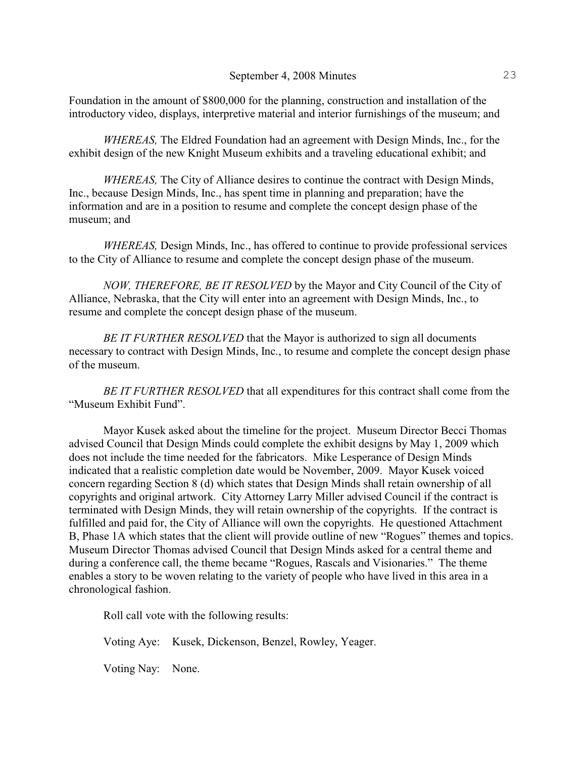Foundation in the amount of \$800,000 for the planning, construction and installation of the introductory video, displays, interpretive material and interior furnishings of the museum; and

*WHEREAS,* The Eldred Foundation had an agreement with Design Minds, Inc., for the exhibit design of the new Knight Museum exhibits and a traveling educational exhibit; and

*WHEREAS,* The City of Alliance desires to continue the contract with Design Minds, Inc., because Design Minds, Inc., has spent time in planning and preparation; have the information and are in a position to resume and complete the concept design phase of the museum; and

*WHEREAS,* Design Minds, Inc., has offered to continue to provide professional services to the City of Alliance to resume and complete the concept design phase of the museum.

*NOW, THEREFORE, BE IT RESOLVED* by the Mayor and City Council of the City of Alliance, Nebraska, that the City will enter into an agreement with Design Minds, Inc., to resume and complete the concept design phase of the museum.

*BE IT FURTHER RESOLVED* that the Mayor is authorized to sign all documents necessary to contract with Design Minds, Inc., to resume and complete the concept design phase of the museum.

*BE IT FURTHER RESOLVED* that all expenditures for this contract shall come from the "Museum Exhibit Fund".

Mayor Kusek asked about the timeline for the project. Museum Director Becci Thomas advised Council that Design Minds could complete the exhibit designs by May 1, 2009 which does not include the time needed for the fabricators. Mike Lesperance of Design Minds indicated that a realistic completion date would be November, 2009. Mayor Kusek voiced concern regarding Section 8 (d) which states that Design Minds shall retain ownership of all copyrights and original artwork. City Attorney Larry Miller advised Council if the contract is terminated with Design Minds, they will retain ownership of the copyrights. If the contract is fulfilled and paid for, the City of Alliance will own the copyrights. He questioned Attachment B, Phase 1A which states that the client will provide outline of new "Rogues" themes and topics. Museum Director Thomas advised Council that Design Minds asked for a central theme and during a conference call, the theme became "Rogues, Rascals and Visionaries." The theme enables a story to be woven relating to the variety of people who have lived in this area in a chronological fashion.

Roll call vote with the following results:

Voting Aye: Kusek, Dickenson, Benzel, Rowley, Yeager.

Voting Nay: None.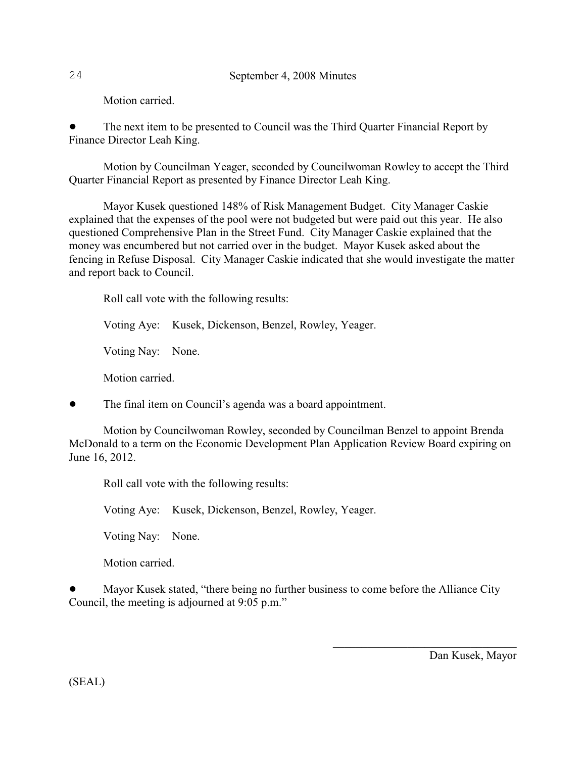Motion carried.

! The next item to be presented to Council was the Third Quarter Financial Report by Finance Director Leah King.

Motion by Councilman Yeager, seconded by Councilwoman Rowley to accept the Third Quarter Financial Report as presented by Finance Director Leah King.

Mayor Kusek questioned 148% of Risk Management Budget. City Manager Caskie explained that the expenses of the pool were not budgeted but were paid out this year. He also questioned Comprehensive Plan in the Street Fund. City Manager Caskie explained that the money was encumbered but not carried over in the budget. Mayor Kusek asked about the fencing in Refuse Disposal. City Manager Caskie indicated that she would investigate the matter and report back to Council.

Roll call vote with the following results:

Voting Aye: Kusek, Dickenson, Benzel, Rowley, Yeager.

Voting Nay: None.

Motion carried.

• The final item on Council's agenda was a board appointment.

Motion by Councilwoman Rowley, seconded by Councilman Benzel to appoint Brenda McDonald to a term on the Economic Development Plan Application Review Board expiring on June 16, 2012.

Roll call vote with the following results:

Voting Aye: Kusek, Dickenson, Benzel, Rowley, Yeager.

Voting Nay: None.

Motion carried.

! Mayor Kusek stated, "there being no further business to come before the Alliance City Council, the meeting is adjourned at 9:05 p.m."

Dan Kusek, Mayor

(SEAL)